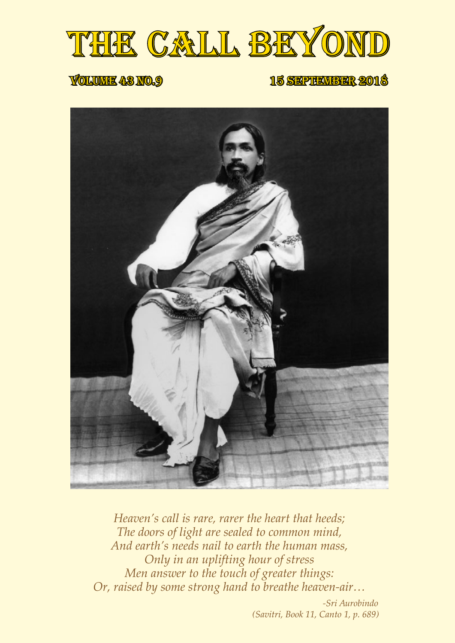

#### VOLUME 43 NO.9 15 SEPTEMBER 2018



*Heaven's call is rare, rarer the heart that heeds; The doors of light are sealed to common mind, And earth's needs nail to earth the human mass, Only in an uplifting hour of stress Men answer to the touch of greater things: Or, raised by some strong hand to breathe heaven-air…* 

> *-Sri Aurobindo (Savitri, Book 11, Canto 1, p. 689)*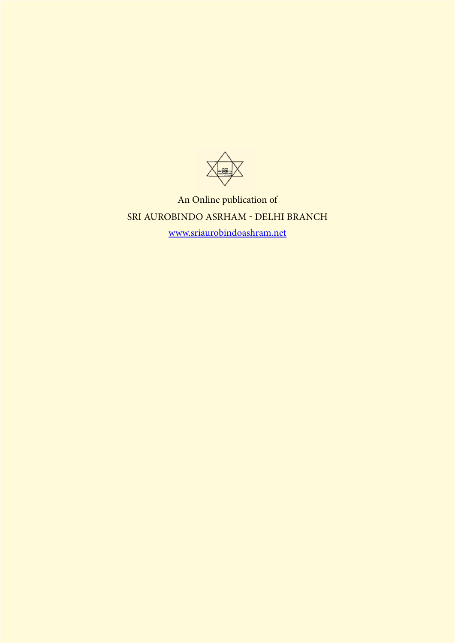

An Online publication of SRI AUROBINDO ASRHAM - DELHI BRANCH [www.sriaurobindoashram.net](http://www.sriaurobindoashram.net)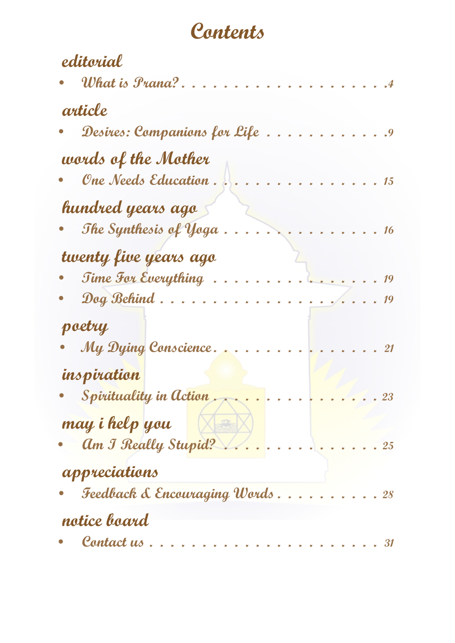# Contents

| editorial                                          |  |
|----------------------------------------------------|--|
| What is <i>Prana?</i> .                            |  |
| article                                            |  |
| Desires: Companions for Life                       |  |
| words of the Mother<br><b>One Needs Education.</b> |  |
| hundred years ago                                  |  |
| The Synthesis of Yoga.                             |  |
| twenty five years ago                              |  |
| <b>Time For Everything.</b><br>19                  |  |
| Dog Behind .<br>19                                 |  |
| poetry<br>My Dying Conscience.                     |  |
| ins piration                                       |  |
| · Spirituality in Action.                          |  |
| may i help you<br><b>am I Really Stupid?</b><br>25 |  |
| appreciations                                      |  |
| Feedback & Encouraging Words28                     |  |
| notice board                                       |  |
| Contact us .                                       |  |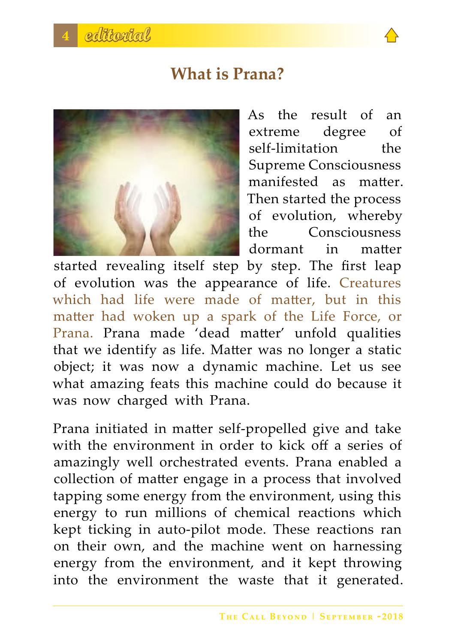

<span id="page-3-0"></span>

As the result of an extreme degree of self-limitation the Supreme Consciousness manifested as matter. Then started the process of evolution, whereby the Consciousness dormant in matter

started revealing itself step by step. The first leap of evolution was the appearance of life. Creatures which had life were made of matter, but in this matter had woken up a spark of the Life Force, or Prana. Prana made 'dead matter' unfold qualities that we identify as life. Matter was no longer a static object; it was now a dynamic machine. Let us see what amazing feats this machine could do because it was now charged with Prana.

Prana initiated in matter self-propelled give and take with the environment in order to kick off a series of amazingly well orchestrated events. Prana enabled a collection of matter engage in a process that involved tapping some energy from the environment, using this energy to run millions of chemical reactions which kept ticking in auto-pilot mode. These reactions ran on their own, and the machine went on harnessing energy from the environment, and it kept throwing into the environment the waste that it generated.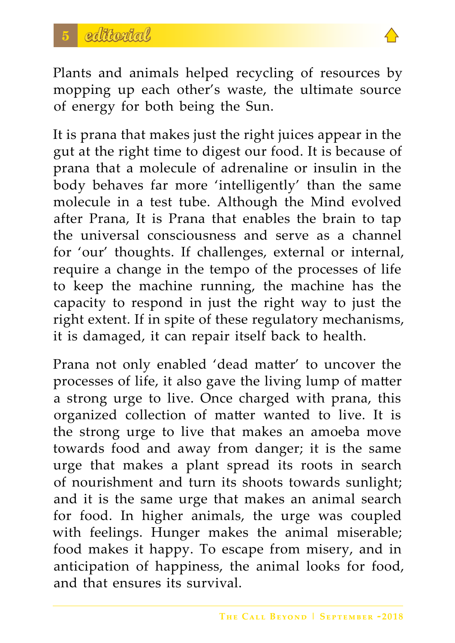

Plants and animals helped recycling of resources by mopping up each other's waste, the ultimate source of energy for both being the Sun.

It is prana that makes just the right juices appear in the gut at the right time to digest our food. It is because of prana that a molecule of adrenaline or insulin in the body behaves far more 'intelligently' than the same molecule in a test tube. Although the Mind evolved after Prana, It is Prana that enables the brain to tap the universal consciousness and serve as a channel for 'our' thoughts. If challenges, external or internal, require a change in the tempo of the processes of life to keep the machine running, the machine has the capacity to respond in just the right way to just the right extent. If in spite of these regulatory mechanisms, it is damaged, it can repair itself back to health.

Prana not only enabled 'dead matter' to uncover the processes of life, it also gave the living lump of matter a strong urge to live. Once charged with prana, this organized collection of matter wanted to live. It is the strong urge to live that makes an amoeba move towards food and away from danger; it is the same urge that makes a plant spread its roots in search of nourishment and turn its shoots towards sunlight; and it is the same urge that makes an animal search for food. In higher animals, the urge was coupled with feelings. Hunger makes the animal miserable; food makes it happy. To escape from misery, and in anticipation of happiness, the animal looks for food, and that ensures its survival.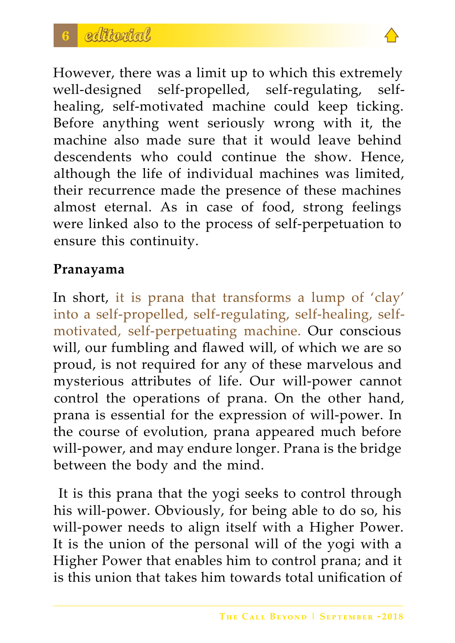

However, there was a limit up to which this extremely well-designed self-propelled, self-regulating, selfhealing, self-motivated machine could keep ticking. Before anything went seriously wrong with it, the machine also made sure that it would leave behind descendents who could continue the show. Hence, although the life of individual machines was limited, their recurrence made the presence of these machines almost eternal. As in case of food, strong feelings were linked also to the process of self-perpetuation to ensure this continuity.

## **Pranayama**

In short, it is prana that transforms a lump of 'clay' into a self-propelled, self-regulating, self-healing, selfmotivated, self-perpetuating machine. Our conscious will, our fumbling and flawed will, of which we are so proud, is not required for any of these marvelous and mysterious attributes of life. Our will-power cannot control the operations of prana. On the other hand, prana is essential for the expression of will-power. In the course of evolution, prana appeared much before will-power, and may endure longer. Prana is the bridge between the body and the mind.

 It is this prana that the yogi seeks to control through his will-power. Obviously, for being able to do so, his will-power needs to align itself with a Higher Power. It is the union of the personal will of the yogi with a Higher Power that enables him to control prana; and it is this union that takes him towards total unification of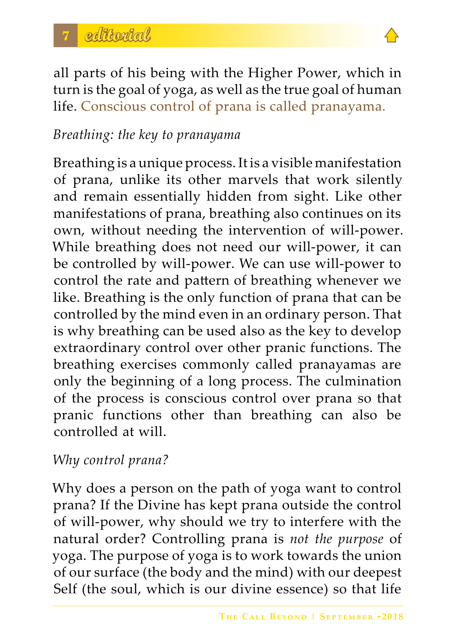all parts of his being with the Higher Power, which in turn is the goal of yoga, as well as the true goal of human life. Conscious control of prana is called pranayama.

## *Breathing: the key to pranayama*

Breathing is a unique process. It is a visible manifestation of prana, unlike its other marvels that work silently and remain essentially hidden from sight. Like other manifestations of prana, breathing also continues on its own, without needing the intervention of will-power. While breathing does not need our will-power, it can be controlled by will-power. We can use will-power to control the rate and pattern of breathing whenever we like. Breathing is the only function of prana that can be controlled by the mind even in an ordinary person. That is why breathing can be used also as the key to develop extraordinary control over other pranic functions. The breathing exercises commonly called pranayamas are only the beginning of a long process. The culmination of the process is conscious control over prana so that pranic functions other than breathing can also be controlled at will.

## *Why control prana?*

Why does a person on the path of yoga want to control prana? If the Divine has kept prana outside the control of will-power, why should we try to interfere with the natural order? Controlling prana is *not the purpose* of yoga. The purpose of yoga is to work towards the union of our surface (the body and the mind) with our deepest Self (the soul, which is our divine essence) so that life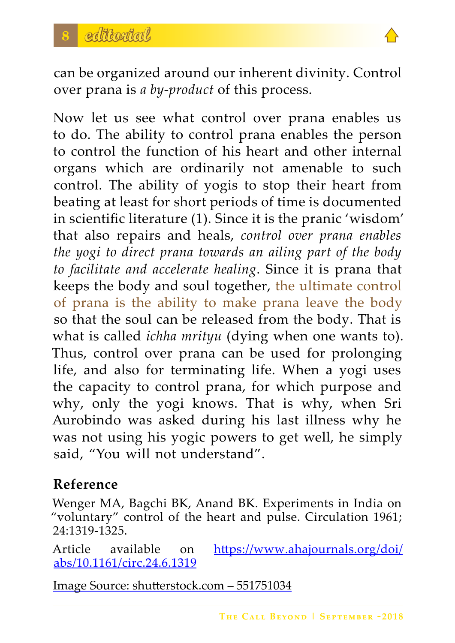

can be organized around our inherent divinity. Control over prana is *a by-product* of this process.

Now let us see what control over prana enables us to do. The ability to control prana enables the person to control the function of his heart and other internal organs which are ordinarily not amenable to such control. The ability of yogis to stop their heart from beating at least for short periods of time is documented in scientific literature (1). Since it is the pranic 'wisdom' that also repairs and heals, *control over prana enables the yogi to direct prana towards an ailing part of the body to facilitate and accelerate healing*. Since it is prana that keeps the body and soul together, the ultimate control of prana is the ability to make prana leave the body so that the soul can be released from the body. That is what is called *ichha mrityu* (dying when one wants to). Thus, control over prana can be used for prolonging life, and also for terminating life. When a yogi uses the capacity to control prana, for which purpose and why, only the yogi knows. That is why, when Sri Aurobindo was asked during his last illness why he was not using his yogic powers to get well, he simply said, "You will not understand".

#### **Reference**

Wenger MA, Bagchi BK, Anand BK. Experiments in India on "voluntary" control of the heart and pulse. Circulation 1961; 24:1319-1325.

Article available on [https://www.ahajournals.org/doi/](https://www.ahajournals.org/doi/abs/10.1161/circ.24.6.1319) [abs/10.1161/circ.24.6.1319](https://www.ahajournals.org/doi/abs/10.1161/circ.24.6.1319)

[Image Source: shutterstock.com – 551751034](https://www.ahajournals.org/doi/abs/10.1161/circ.24.6.1319)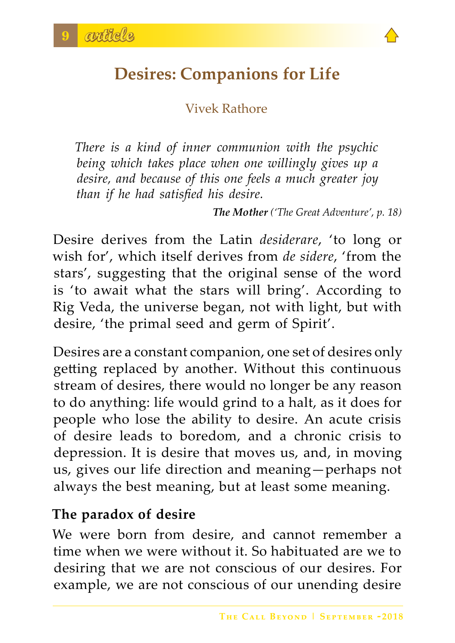

# <span id="page-8-0"></span>**Desires: Companions for Life**

Vivek Rathore

*There is a kind of inner communion with the psychic being which takes place when one willingly gives up a desire, and because of this one feels a much greater joy than if he had satisfied his desire.*

*The Mother ('The Great Adventure', p. 18)*

Desire derives from the Latin *desiderare*, 'to long or wish for', which itself derives from *de sidere*, 'from the stars', suggesting that the original sense of the word is 'to await what the stars will bring'. According to Rig Veda, the universe began, not with light, but with desire, 'the primal seed and germ of Spirit'.

Desires are a constant companion, one set of desires only getting replaced by another. Without this continuous stream of desires, there would no longer be any reason to do anything: life would grind to a halt, as it does for people who lose the ability to desire. An acute crisis of desire leads to boredom, and a chronic crisis to depression. It is desire that moves us, and, in moving us, gives our life direction and meaning—perhaps not always the best meaning, but at least some meaning.

#### **The paradox of desire**

We were born from desire, and cannot remember a time when we were without it. So habituated are we to desiring that we are not conscious of our desires. For example, we are not conscious of our unending desire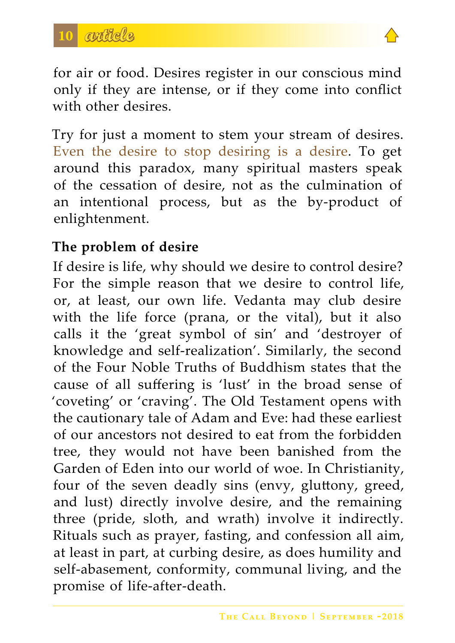

for air or food. Desires register in our conscious mind only if they are intense, or if they come into conflict with other desires.

Try for just a moment to stem your stream of desires. Even the desire to stop desiring is a desire. To get around this paradox, many spiritual masters speak of the cessation of desire, not as the culmination of an intentional process, but as the by-product of enlightenment.

## **The problem of desire**

If desire is life, why should we desire to control desire? For the simple reason that we desire to control life, or, at least, our own life. Vedanta may club desire with the life force (prana, or the vital), but it also calls it the 'great symbol of sin' and 'destroyer of knowledge and self-realization'. Similarly, the second of the Four Noble Truths of Buddhism states that the cause of all suffering is 'lust' in the broad sense of 'coveting' or 'craving'. The Old Testament opens with the cautionary tale of Adam and Eve: had these earliest of our ancestors not desired to eat from the forbidden tree, they would not have been banished from the Garden of Eden into our world of woe. In Christianity, four of the seven deadly sins (envy, gluttony, greed, and lust) directly involve desire, and the remaining three (pride, sloth, and wrath) involve it indirectly. Rituals such as prayer, fasting, and confession all aim, at least in part, at curbing desire, as does humility and self-abasement, conformity, communal living, and the promise of life-after-death.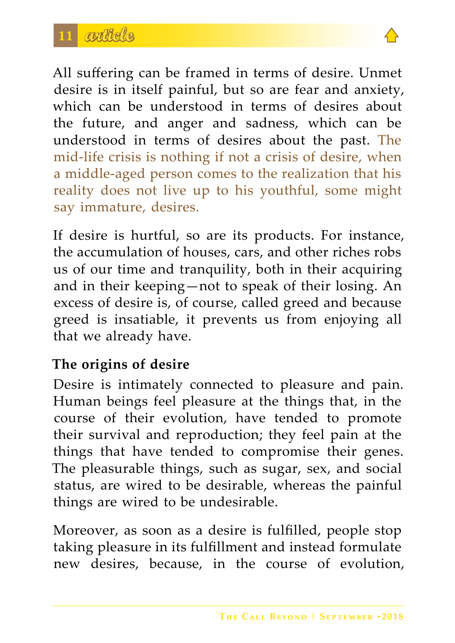



All suffering can be framed in terms of desire. Unmet desire is in itself painful, but so are fear and anxiety, which can be understood in terms of desires about the future, and anger and sadness, which can be understood in terms of desires about the past. The mid-life crisis is nothing if not a crisis of desire, when a middle-aged person comes to the realization that his reality does not live up to his youthful, some might say immature, desires.

If desire is hurtful, so are its products. For instance, the accumulation of houses, cars, and other riches robs us of our time and tranquility, both in their acquiring and in their keeping—not to speak of their losing. An excess of desire is, of course, called greed and because greed is insatiable, it prevents us from enjoying all that we already have.

#### **The origins of desire**

Desire is intimately connected to pleasure and pain. Human beings feel pleasure at the things that, in the course of their evolution, have tended to promote their survival and reproduction; they feel pain at the things that have tended to compromise their genes. The pleasurable things, such as sugar, sex, and social status, are wired to be desirable, whereas the painful things are wired to be undesirable.

Moreover, as soon as a desire is fulfilled, people stop taking pleasure in its fulfillment and instead formulate new desires, because, in the course of evolution,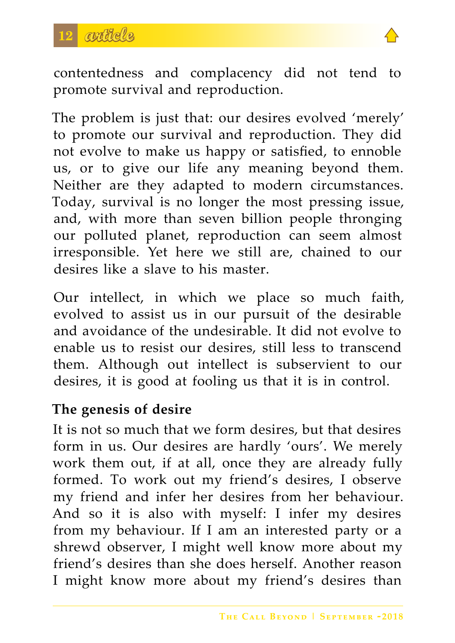



contentedness and complacency did not tend to promote survival and reproduction.

The problem is just that: our desires evolved 'merely' to promote our survival and reproduction. They did not evolve to make us happy or satisfied, to ennoble us, or to give our life any meaning beyond them. Neither are they adapted to modern circumstances. Today, survival is no longer the most pressing issue, and, with more than seven billion people thronging our polluted planet, reproduction can seem almost irresponsible. Yet here we still are, chained to our desires like a slave to his master.

Our intellect, in which we place so much faith, evolved to assist us in our pursuit of the desirable and avoidance of the undesirable. It did not evolve to enable us to resist our desires, still less to transcend them. Although out intellect is subservient to our desires, it is good at fooling us that it is in control.

#### **The genesis of desire**

It is not so much that we form desires, but that desires form in us. Our desires are hardly 'ours'. We merely work them out, if at all, once they are already fully formed. To work out my friend's desires, I observe my friend and infer her desires from her behaviour. And so it is also with myself: I infer my desires from my behaviour. If I am an interested party or a shrewd observer, I might well know more about my friend's desires than she does herself. Another reason I might know more about my friend's desires than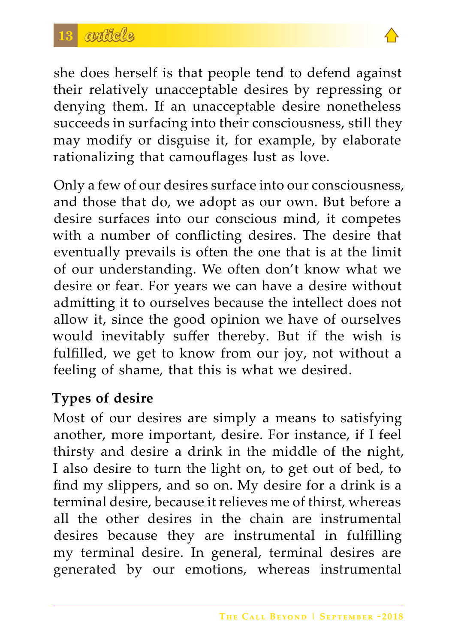

she does herself is that people tend to defend against their relatively unacceptable desires by repressing or denying them. If an unacceptable desire nonetheless succeeds in surfacing into their consciousness, still they may modify or disguise it, for example, by elaborate rationalizing that camouflages lust as love.

Only a few of our desires surface into our consciousness, and those that do, we adopt as our own. But before a desire surfaces into our conscious mind, it competes with a number of conflicting desires. The desire that eventually prevails is often the one that is at the limit of our understanding. We often don't know what we desire or fear. For years we can have a desire without admitting it to ourselves because the intellect does not allow it, since the good opinion we have of ourselves would inevitably suffer thereby. But if the wish is fulfilled, we get to know from our joy, not without a feeling of shame, that this is what we desired.

## **Types of desire**

Most of our desires are simply a means to satisfying another, more important, desire. For instance, if I feel thirsty and desire a drink in the middle of the night, I also desire to turn the light on, to get out of bed, to find my slippers, and so on. My desire for a drink is a terminal desire, because it relieves me of thirst, whereas all the other desires in the chain are instrumental desires because they are instrumental in fulfilling my terminal desire. In general, terminal desires are generated by our emotions, whereas instrumental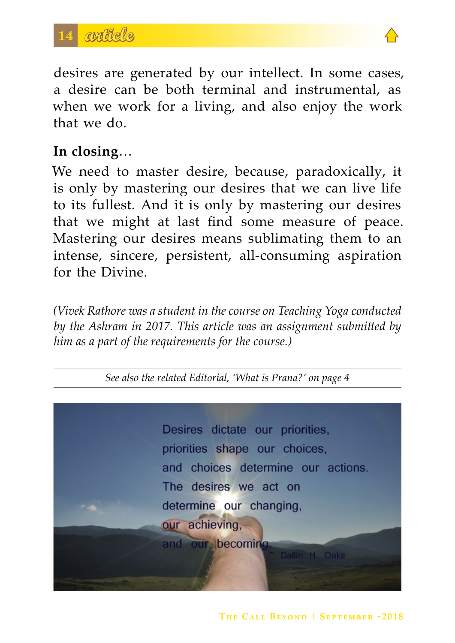

desires are generated by our intellect. In some cases, a desire can be both terminal and instrumental, as when we work for a living, and also enjoy the work that we do.

## **In closing**…

We need to master desire, because, paradoxically, it is only by mastering our desires that we can live life to its fullest. And it is only by mastering our desires that we might at last find some measure of peace. Mastering our desires means sublimating them to an intense, sincere, persistent, all-consuming aspiration for the Divine.

*(Vivek Rathore was a student in the course on Teaching Yoga conducted by the Ashram in 2017. This article was an assignment submitted by him as a part of the requirements for the course.)* 

Desires dictate our priorities, priorities shape our choices, and choices determine our actions. The desires we act on determine our changing, our achieving, and our becoming Dallin H. Oaks

*See also the related Editorial, 'What is Prana?' on page 4*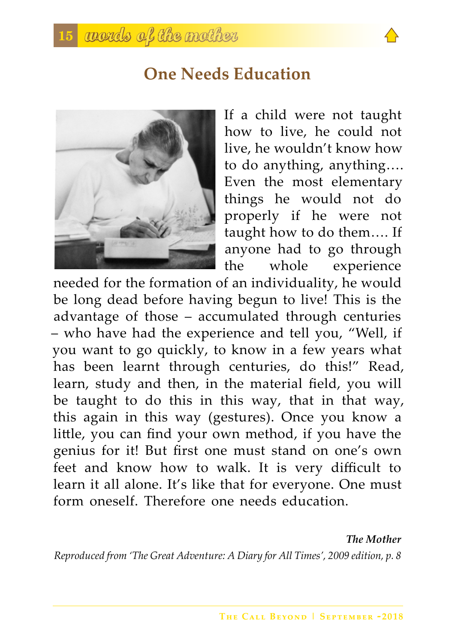## **One Needs Education**

<span id="page-14-0"></span>

If a child were not taught how to live, he could not live, he wouldn't know how to do anything, anything…. Even the most elementary things he would not do properly if he were not taught how to do them…. If anyone had to go through the whole experience

needed for the formation of an individuality, he would be long dead before having begun to live! This is the advantage of those – accumulated through centuries – who have had the experience and tell you, "Well, if you want to go quickly, to know in a few years what has been learnt through centuries, do this!" Read, learn, study and then, in the material field, you will be taught to do this in this way, that in that way, this again in this way (gestures). Once you know a little, you can find your own method, if you have the genius for it! But first one must stand on one's own feet and know how to walk. It is very difficult to learn it all alone. It's like that for everyone. One must form oneself. Therefore one needs education.

*The Mother*

*Reproduced from 'The Great Adventure: A Diary for All Times', 2009 edition, p. 8*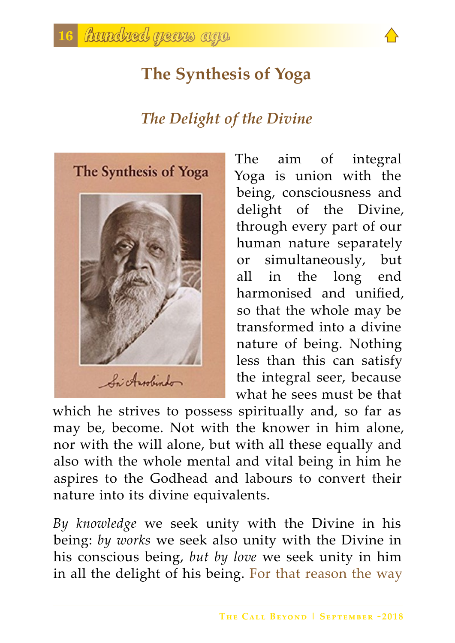

# <span id="page-15-0"></span>**The Synthesis of Yoga**

# *The Delight of the Divine*



The aim of integral Yoga is union with the being, consciousness and delight of the Divine, through every part of our human nature separately or simultaneously, but all in the long end harmonised and unified, so that the whole may be transformed into a divine nature of being. Nothing less than this can satisfy the integral seer, because what he sees must be that

which he strives to possess spiritually and, so far as may be, become. Not with the knower in him alone, nor with the will alone, but with all these equally and also with the whole mental and vital being in him he aspires to the Godhead and labours to convert their nature into its divine equivalents.

*By knowledge* we seek unity with the Divine in his being: *by works* we seek also unity with the Divine in his conscious being, *but by love* we seek unity in him in all the delight of his being. For that reason the way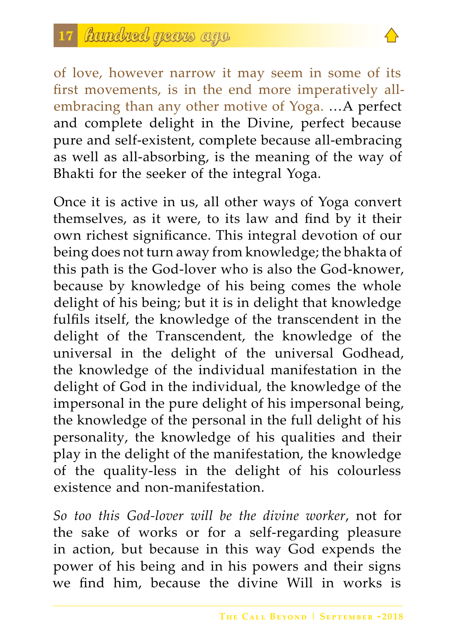

of love, however narrow it may seem in some of its first movements, is in the end more imperatively allembracing than any other motive of Yoga. …A perfect and complete delight in the Divine, perfect because pure and self-existent, complete because all-embracing as well as all-absorbing, is the meaning of the way of Bhakti for the seeker of the integral Yoga.

Once it is active in us, all other ways of Yoga convert themselves, as it were, to its law and find by it their own richest significance. This integral devotion of our being does not turn away from knowledge; the bhakta of this path is the God-lover who is also the God-knower, because by knowledge of his being comes the whole delight of his being; but it is in delight that knowledge fulfils itself, the knowledge of the transcendent in the delight of the Transcendent, the knowledge of the universal in the delight of the universal Godhead, the knowledge of the individual manifestation in the delight of God in the individual, the knowledge of the impersonal in the pure delight of his impersonal being, the knowledge of the personal in the full delight of his personality, the knowledge of his qualities and their play in the delight of the manifestation, the knowledge of the quality-less in the delight of his colourless existence and non-manifestation.

*So too this God-lover will be the divine worker*, not for the sake of works or for a self-regarding pleasure in action, but because in this way God expends the power of his being and in his powers and their signs we find him, because the divine Will in works is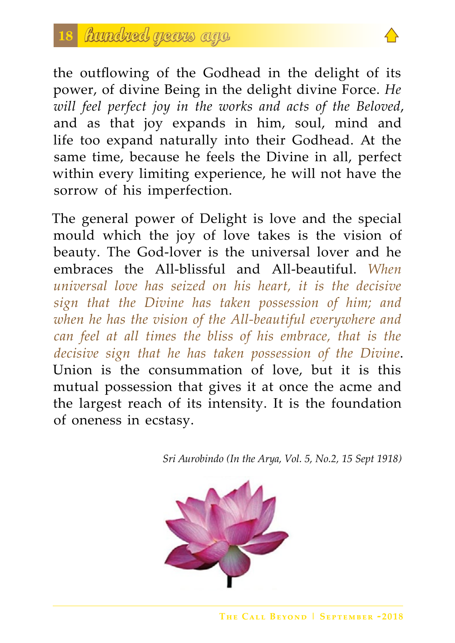

the outflowing of the Godhead in the delight of its power, of divine Being in the delight divine Force. *He will feel perfect joy in the works and acts of the Beloved*, and as that joy expands in him, soul, mind and life too expand naturally into their Godhead. At the same time, because he feels the Divine in all, perfect within every limiting experience, he will not have the sorrow of his imperfection.

The general power of Delight is love and the special mould which the joy of love takes is the vision of beauty. The God-lover is the universal lover and he embraces the All-blissful and All-beautiful. *When universal love has seized on his heart, it is the decisive sign that the Divine has taken possession of him; and when he has the vision of the All-beautiful everywhere and can feel at all times the bliss of his embrace, that is the decisive sign that he has taken possession of the Divine*. Union is the consummation of love, but it is this mutual possession that gives it at once the acme and the largest reach of its intensity. It is the foundation of oneness in ecstasy.

 *Sri Aurobindo (In the Arya, Vol. 5, No.2, 15 Sept 1918)*

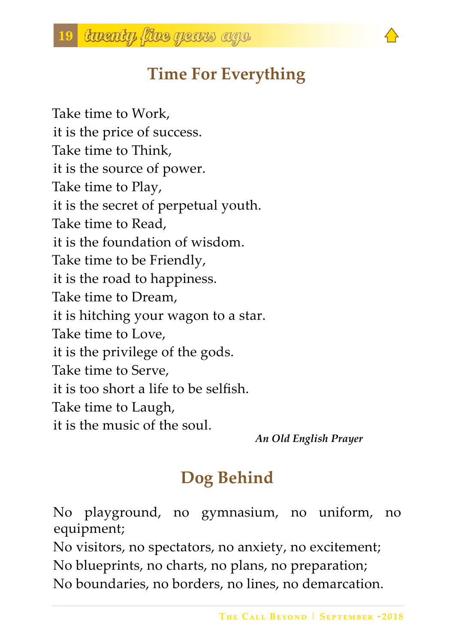# **Time For Everything**

<span id="page-18-0"></span>Take time to Work, it is the price of success. Take time to Think, it is the source of power. Take time to Play, it is the secret of perpetual youth. Take time to Read, it is the foundation of wisdom. Take time to be Friendly, it is the road to happiness. Take time to Dream, it is hitching your wagon to a star. Take time to Love, it is the privilege of the gods. Take time to Serve, it is too short a life to be selfish. Take time to Laugh, it is the music of the soul. *An Old English Prayer*

# **Dog Behind**

No playground, no gymnasium, no uniform, no equipment;

No visitors, no spectators, no anxiety, no excitement; No blueprints, no charts, no plans, no preparation; No boundaries, no borders, no lines, no demarcation.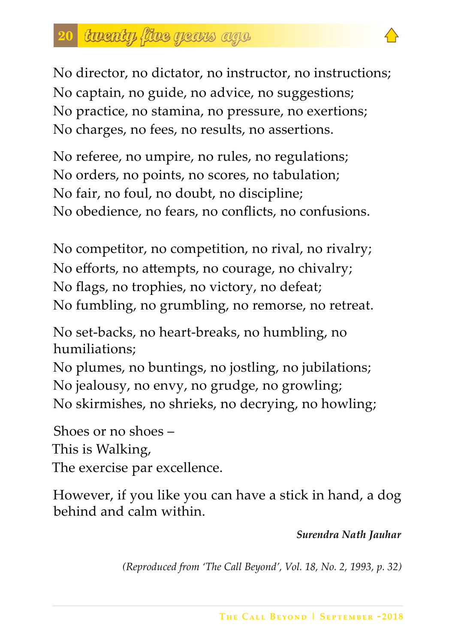No director, no dictator, no instructor, no instructions; No captain, no guide, no advice, no suggestions; No practice, no stamina, no pressure, no exertions; No charges, no fees, no results, no assertions.

No referee, no umpire, no rules, no regulations; No orders, no points, no scores, no tabulation; No fair, no foul, no doubt, no discipline; No obedience, no fears, no conflicts, no confusions.

No competitor, no competition, no rival, no rivalry; No efforts, no attempts, no courage, no chivalry; No flags, no trophies, no victory, no defeat; No fumbling, no grumbling, no remorse, no retreat.

No set-backs, no heart-breaks, no humbling, no humiliations;

No plumes, no buntings, no jostling, no jubilations; No jealousy, no envy, no grudge, no growling; No skirmishes, no shrieks, no decrying, no howling;

Shoes or no shoes – This is Walking, The exercise par excellence.

However, if you like you can have a stick in hand, a dog behind and calm within.

*Surendra Nath Jauhar*

*(Reproduced from 'The Call Beyond', Vol. 18, No. 2, 1993, p. 32)*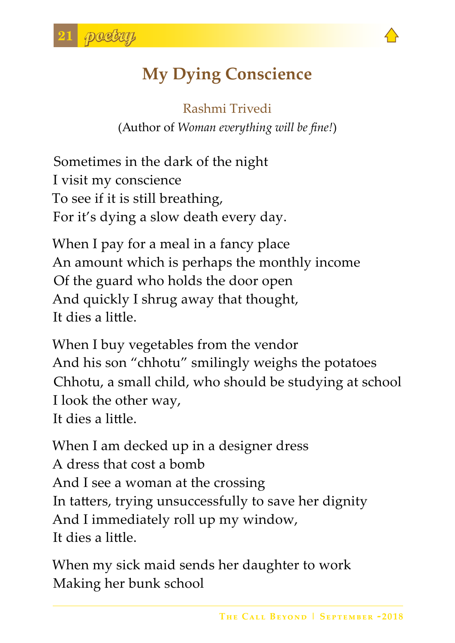<span id="page-20-0"></span>

# **My Dying Conscience**

Rashmi Trivedi (Author of *Woman everything will be fine!*)

Sometimes in the dark of the night I visit my conscience To see if it is still breathing, For it's dying a slow death every day.

When I pay for a meal in a fancy place An amount which is perhaps the monthly income Of the guard who holds the door open And quickly I shrug away that thought, It dies a little.

When I buy vegetables from the vendor And his son "chhotu" smilingly weighs the potatoes Chhotu, a small child, who should be studying at school I look the other way, It dies a little.

When I am decked up in a designer dress A dress that cost a bomb And I see a woman at the crossing In tatters, trying unsuccessfully to save her dignity And I immediately roll up my window, It dies a little.

When my sick maid sends her daughter to work Making her bunk school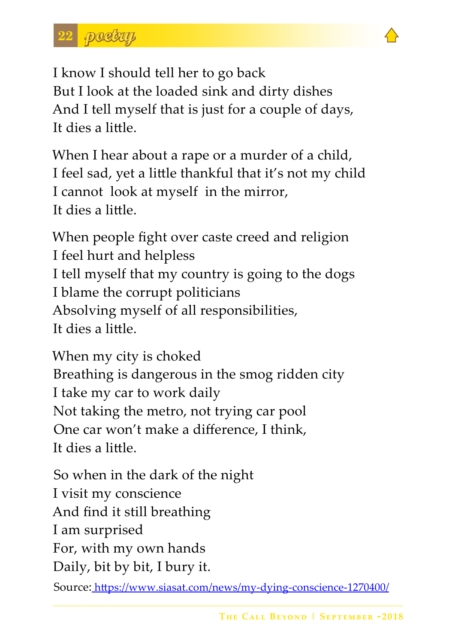



I know I should tell her to go back But I look at the loaded sink and dirty dishes And I tell myself that is just for a couple of days, It dies a little.

When I hear about a rape or a murder of a child, I feel sad, yet a little thankful that it's not my child I cannot look at myself in the mirror, It dies a little.

When people fight over caste creed and religion I feel hurt and helpless I tell myself that my country is going to the dogs I blame the corrupt politicians Absolving myself of all responsibilities, It dies a little.

When my city is choked Breathing is dangerous in the smog ridden city I take my car to work daily Not taking the metro, not trying car pool One car won't make a difference, I think, It dies a little.

So when in the dark of the night I visit my conscience And find it still breathing I am surprised For, with my own hands Daily, bit by bit, I bury it.

Source:<https://www.siasat.com/news/my-dying-conscience-1270400/>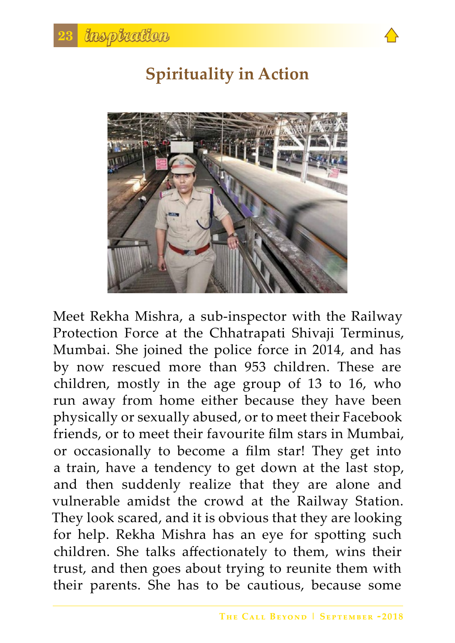

<span id="page-22-0"></span>

Meet Rekha Mishra, a sub-inspector with the Railway Protection Force at the Chhatrapati Shivaji Terminus, Mumbai. She joined the police force in 2014, and has by now rescued more than 953 children. These are children, mostly in the age group of 13 to 16, who run away from home either because they have been physically or sexually abused, or to meet their Facebook friends, or to meet their favourite film stars in Mumbai, or occasionally to become a film star! They get into a train, have a tendency to get down at the last stop, and then suddenly realize that they are alone and vulnerable amidst the crowd at the Railway Station. They look scared, and it is obvious that they are looking for help. Rekha Mishra has an eye for spotting such children. She talks affectionately to them, wins their trust, and then goes about trying to reunite them with their parents. She has to be cautious, because some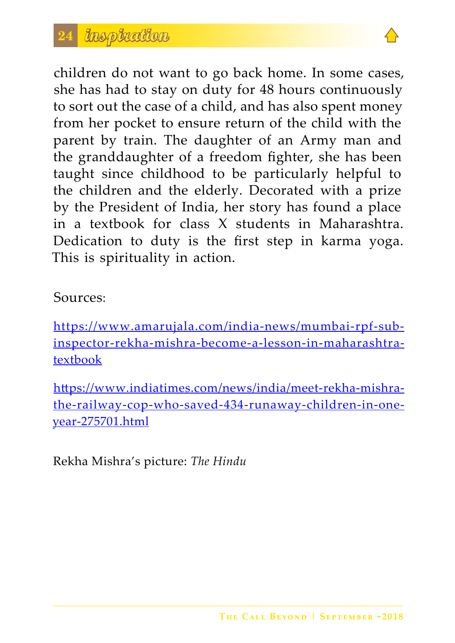

children do not want to go back home. In some cases, she has had to stay on duty for 48 hours continuously to sort out the case of a child, and has also spent money from her pocket to ensure return of the child with the parent by train. The daughter of an Army man and the granddaughter of a freedom fighter, she has been taught since childhood to be particularly helpful to the children and the elderly. Decorated with a prize by the President of India, her story has found a place in a textbook for class X students in Maharashtra. Dedication to duty is the first step in karma yoga. This is spirituality in action.

#### Sources:

[https://www.amarujala.com/india-news/mumbai-rpf-sub](https://www.amarujala.com/india-news/mumbai-rpf-sub-inspector-rekha-mishra-become-a-lesson-in-maharashtra-textbook)[inspector-rekha-mishra-become-a-lesson-in-maharashtra](https://www.amarujala.com/india-news/mumbai-rpf-sub-inspector-rekha-mishra-become-a-lesson-in-maharashtra-textbook)[textbook](https://www.amarujala.com/india-news/mumbai-rpf-sub-inspector-rekha-mishra-become-a-lesson-in-maharashtra-textbook)

[https://www.indiatimes.com/news/india/meet-rekha-mishra](https://www.indiatimes.com/news/india/meet-rekha-mishra-the-railway-cop-who-saved-434-runaway-children-in-one-year-275701.html)[the-railway-cop-who-saved-434-runaway-children-in-one](https://www.indiatimes.com/news/india/meet-rekha-mishra-the-railway-cop-who-saved-434-runaway-children-in-one-year-275701.html)[year-275701.html](https://www.indiatimes.com/news/india/meet-rekha-mishra-the-railway-cop-who-saved-434-runaway-children-in-one-year-275701.html)

Rekha Mishra's picture: *The Hindu*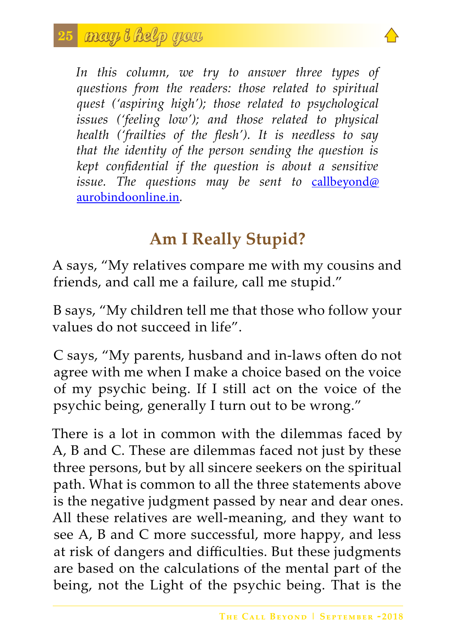<span id="page-24-0"></span>



*In this column, we try to answer three types of questions from the readers: those related to spiritual quest ('aspiring high'); those related to psychological issues ('feeling low'); and those related to physical health ('frailties of the flesh'). It is needless to say that the identity of the person sending the question is kept confidential if the question is about a sensitive issue. The questions may be sent to* [callbeyond@](callbeyond@aurobindoonline.in) [aurobindoonline.in](callbeyond@aurobindoonline.in)*.*

# **Am I Really Stupid?**

A says, "My relatives compare me with my cousins and friends, and call me a failure, call me stupid."

B says, "My children tell me that those who follow your values do not succeed in life".

C says, "My parents, husband and in-laws often do not agree with me when I make a choice based on the voice of my psychic being. If I still act on the voice of the psychic being, generally I turn out to be wrong."

There is a lot in common with the dilemmas faced by A, B and C. These are dilemmas faced not just by these three persons, but by all sincere seekers on the spiritual path. What is common to all the three statements above is the negative judgment passed by near and dear ones. All these relatives are well-meaning, and they want to see A, B and C more successful, more happy, and less at risk of dangers and difficulties. But these judgments are based on the calculations of the mental part of the being, not the Light of the psychic being. That is the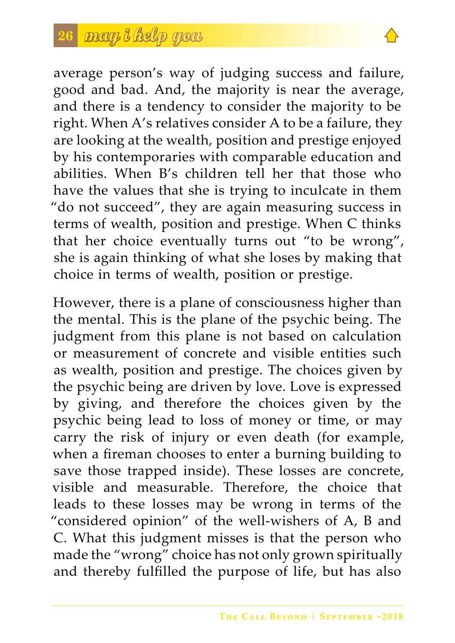

average person's way of judging success and failure, good and bad. And, the majority is near the average, and there is a tendency to consider the majority to be right. When A's relatives consider A to be a failure, they are looking at the wealth, position and prestige enjoyed by his contemporaries with comparable education and abilities. When B's children tell her that those who have the values that she is trying to inculcate in them "do not succeed", they are again measuring success in terms of wealth, position and prestige. When C thinks that her choice eventually turns out "to be wrong", she is again thinking of what she loses by making that choice in terms of wealth, position or prestige.

However, there is a plane of consciousness higher than the mental. This is the plane of the psychic being. The judgment from this plane is not based on calculation or measurement of concrete and visible entities such as wealth, position and prestige. The choices given by the psychic being are driven by love. Love is expressed by giving, and therefore the choices given by the psychic being lead to loss of money or time, or may carry the risk of injury or even death (for example, when a fireman chooses to enter a burning building to save those trapped inside). These losses are concrete, visible and measurable. Therefore, the choice that leads to these losses may be wrong in terms of the "considered opinion" of the well-wishers of A, B and C. What this judgment misses is that the person who made the "wrong" choice has not only grown spiritually and thereby fulfilled the purpose of life, but has also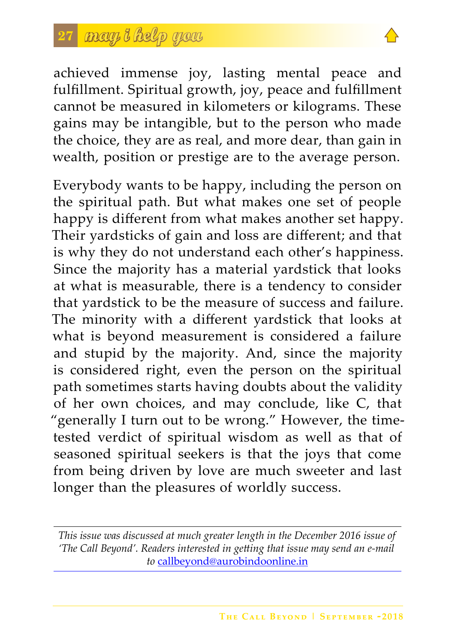



achieved immense joy, lasting mental peace and fulfillment. Spiritual growth, joy, peace and fulfillment cannot be measured in kilometers or kilograms. These gains may be intangible, but to the person who made the choice, they are as real, and more dear, than gain in wealth, position or prestige are to the average person.

Everybody wants to be happy, including the person on the spiritual path. But what makes one set of people happy is different from what makes another set happy. Their yardsticks of gain and loss are different; and that is why they do not understand each other's happiness. Since the majority has a material yardstick that looks at what is measurable, there is a tendency to consider that yardstick to be the measure of success and failure. The minority with a different yardstick that looks at what is beyond measurement is considered a failure and stupid by the majority. And, since the majority is considered right, even the person on the spiritual path sometimes starts having doubts about the validity of her own choices, and may conclude, like C, that "generally I turn out to be wrong." However, the timetested verdict of spiritual wisdom as well as that of seasoned spiritual seekers is that the joys that come from being driven by love are much sweeter and last longer than the pleasures of worldly success.

*This issue was discussed at much greater length in the December 2016 issue of 'The Call Beyond'. Readers interested in getting that issue may send an e-mail to* [callbeyond@aurobindoonline.in](http://callbeyond@aurobindoonline.in)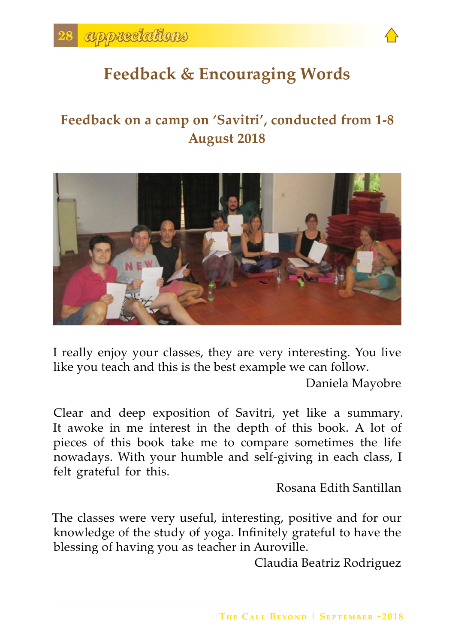<span id="page-27-0"></span>

## **Feedback on a camp on 'Savitri', conducted from 1-8 August 2018**



I really enjoy your classes, they are very interesting. You live like you teach and this is the best example we can follow.

Daniela Mayobre

Clear and deep exposition of Savitri, yet like a summary. It awoke in me interest in the depth of this book. A lot of pieces of this book take me to compare sometimes the life nowadays. With your humble and self-giving in each class, I felt grateful for this.

Rosana Edith Santillan

The classes were very useful, interesting, positive and for our knowledge of the study of yoga. Infinitely grateful to have the blessing of having you as teacher in Auroville.

Claudia Beatriz Rodriguez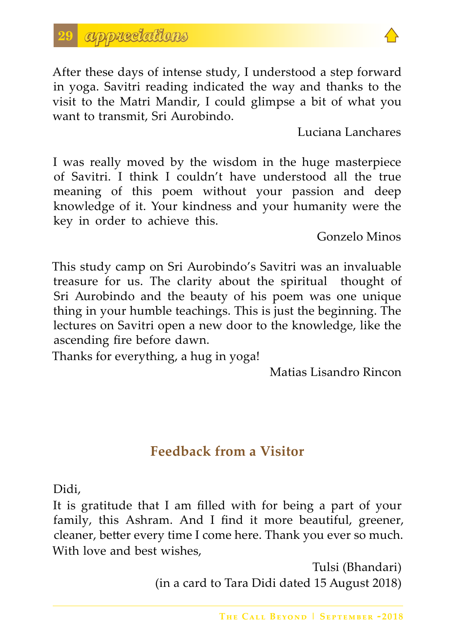After these days of intense study, I understood a step forward in yoga. Savitri reading indicated the way and thanks to the visit to the Matri Mandir, I could glimpse a bit of what you want to transmit, Sri Aurobindo.

Luciana Lanchares

I was really moved by the wisdom in the huge masterpiece of Savitri. I think I couldn't have understood all the true meaning of this poem without your passion and deep knowledge of it. Your kindness and your humanity were the key in order to achieve this.

Gonzelo Minos

This study camp on Sri Aurobindo's Savitri was an invaluable treasure for us. The clarity about the spiritual thought of Sri Aurobindo and the beauty of his poem was one unique thing in your humble teachings. This is just the beginning. The lectures on Savitri open a new door to the knowledge, like the ascending fire before dawn.

Thanks for everything, a hug in yoga!

Matias Lisandro Rincon

## **Feedback from a Visitor**

Didi,

It is gratitude that I am filled with for being a part of your family, this Ashram. And I find it more beautiful, greener, cleaner, better every time I come here. Thank you ever so much. With love and best wishes,

> Tulsi (Bhandari) (in a card to Tara Didi dated 15 August 2018)

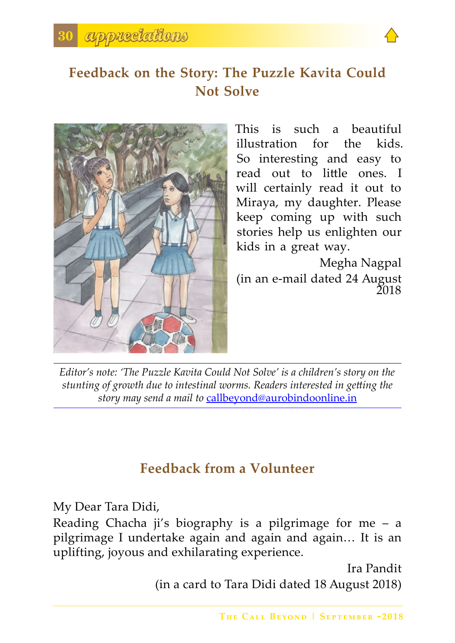

## **Feedback on the Story: The Puzzle Kavita Could Not Solve**



This is such a beautiful illustration for the kids. So interesting and easy to read out to little ones. I will certainly read it out to Miraya, my daughter. Please keep coming up with such stories help us enlighten our kids in a great way.

Megha Nagpal (in an e-mail dated 24 August <sup>2018</sup>

*Editor's note: 'The Puzzle Kavita Could Not Solve' is a children's story on the stunting of growth due to intestinal worms. Readers interested in getting the story may send a mail to* [callbeyond@aurobindoonline.in](http://callbeyond@aurobindoonline.in)

## **Feedback from a Volunteer**

My Dear Tara Didi,

Reading Chacha ji's biography is a pilgrimage for me  $-$  a pilgrimage I undertake again and again and again… It is an uplifting, joyous and exhilarating experience.

> Ira Pandit (in a card to Tara Didi dated 18 August 2018)